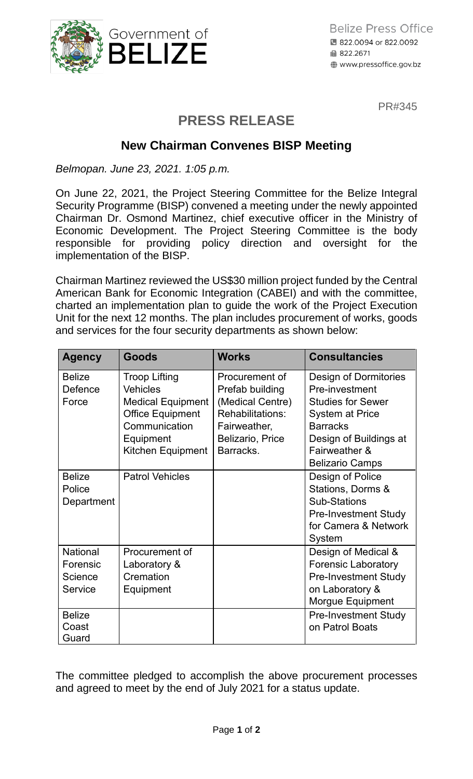

PR#345

## **PRESS RELEASE**

## **New Chairman Convenes BISP Meeting**

*Belmopan. June 23, 2021. 1:05 p.m.*

On June 22, 2021, the Project Steering Committee for the Belize Integral Security Programme (BISP) convened a meeting under the newly appointed Chairman Dr. Osmond Martinez, chief executive officer in the Ministry of Economic Development. The Project Steering Committee is the body responsible for providing policy direction and oversight for the implementation of the BISP.

Chairman Martinez reviewed the US\$30 million project funded by the Central American Bank for Economic Integration (CABEI) and with the committee, charted an implementation plan to guide the work of the Project Execution Unit for the next 12 months. The plan includes procurement of works, goods and services for the four security departments as shown below:

| <b>Agency</b>                                                      | Goods                                                                                                                                             | <b>Works</b>                                                                                                                      | <b>Consultancies</b>                                                                                                                                                                  |
|--------------------------------------------------------------------|---------------------------------------------------------------------------------------------------------------------------------------------------|-----------------------------------------------------------------------------------------------------------------------------------|---------------------------------------------------------------------------------------------------------------------------------------------------------------------------------------|
| <b>Belize</b><br>Defence<br>Force                                  | <b>Troop Lifting</b><br><b>Vehicles</b><br><b>Medical Equipment</b><br><b>Office Equipment</b><br>Communication<br>Equipment<br>Kitchen Equipment | Procurement of<br>Prefab building<br>(Medical Centre)<br>Rehabilitations:<br>Fairweather,<br><b>Belizario, Price</b><br>Barracks. | Design of Dormitories<br>Pre-investment<br><b>Studies for Sewer</b><br><b>System at Price</b><br><b>Barracks</b><br>Design of Buildings at<br>Fairweather &<br><b>Belizario Camps</b> |
| <b>Belize</b><br>Police<br>Department                              | <b>Patrol Vehicles</b>                                                                                                                            |                                                                                                                                   | Design of Police<br>Stations, Dorms &<br><b>Sub-Stations</b><br><b>Pre-Investment Study</b><br>for Camera & Network<br>System                                                         |
| <b>National</b><br>Forensic<br>Science<br>Service<br><b>Belize</b> | Procurement of<br>Laboratory &<br>Cremation<br>Equipment                                                                                          |                                                                                                                                   | Design of Medical &<br><b>Forensic Laboratory</b><br><b>Pre-Investment Study</b><br>on Laboratory &<br>Morgue Equipment<br><b>Pre-Investment Study</b>                                |
| Coast<br>Guard                                                     |                                                                                                                                                   |                                                                                                                                   | on Patrol Boats                                                                                                                                                                       |

The committee pledged to accomplish the above procurement processes and agreed to meet by the end of July 2021 for a status update.